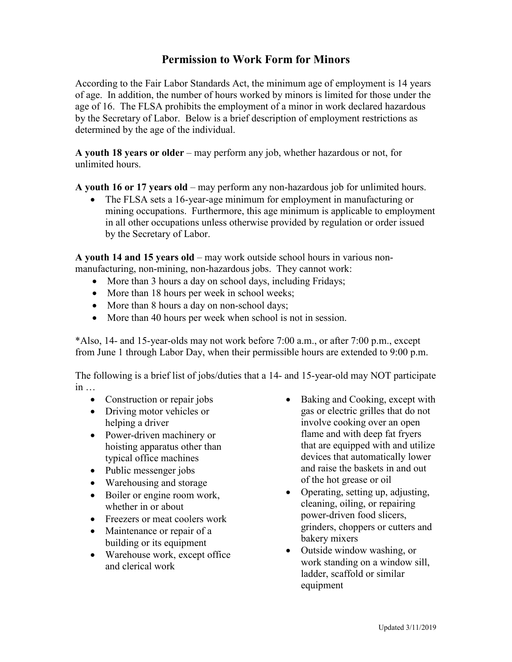## **Permission to Work Form for Minors**

According to the Fair Labor Standards Act, the minimum age of employment is 14 years of age. In addition, the number of hours worked by minors is limited for those under the age of 16. The FLSA prohibits the employment of a minor in work declared hazardous by the Secretary of Labor. Below is a brief description of employment restrictions as determined by the age of the individual.

**A youth 18 years or older** – may perform any job, whether hazardous or not, for unlimited hours.

**A youth 16 or 17 years old** – may perform any non-hazardous job for unlimited hours.

• The FLSA sets a 16-year-age minimum for employment in manufacturing or mining occupations. Furthermore, this age minimum is applicable to employment in all other occupations unless otherwise provided by regulation or order issued by the Secretary of Labor.

**A youth 14 and 15 years old** – may work outside school hours in various nonmanufacturing, non-mining, non-hazardous jobs. They cannot work:

- More than 3 hours a day on school days, including Fridays;
- More than 18 hours per week in school weeks;
- More than 8 hours a day on non-school days;
- More than 40 hours per week when school is not in session.

\*Also, 14- and 15-year-olds may not work before 7:00 a.m., or after 7:00 p.m., except from June 1 through Labor Day, when their permissible hours are extended to 9:00 p.m.

The following is a brief list of jobs/duties that a 14- and 15-year-old may NOT participate in …

- Construction or repair jobs
- Driving motor vehicles or helping a driver
- Power-driven machinery or hoisting apparatus other than typical office machines
- Public messenger jobs
- Warehousing and storage
- Boiler or engine room work, whether in or about
- Freezers or meat coolers work
- Maintenance or repair of a building or its equipment
- Warehouse work, except office and clerical work
- Baking and Cooking, except with gas or electric grilles that do not involve cooking over an open flame and with deep fat fryers that are equipped with and utilize devices that automatically lower and raise the baskets in and out of the hot grease or oil
- Operating, setting up, adjusting, cleaning, oiling, or repairing power-driven food slicers, grinders, choppers or cutters and bakery mixers
- Outside window washing, or work standing on a window sill, ladder, scaffold or similar equipment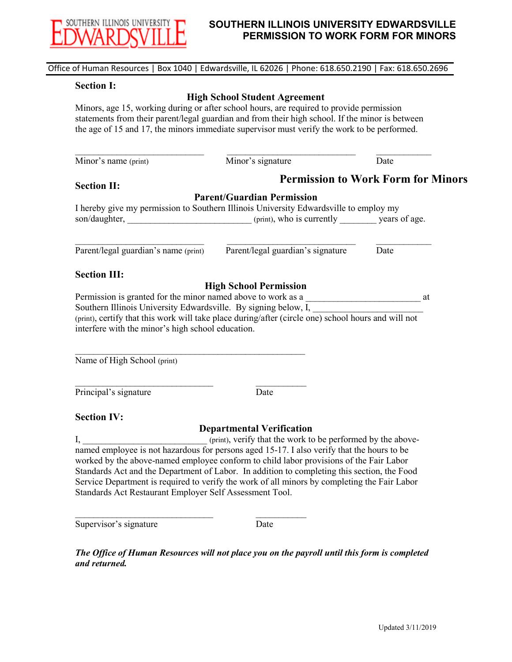

## **SOUTHERN ILLINOIS UNIVERSITY EDWARDSVILLE PERMISSION TO WORK FORM FOR MINORS**

| <b>Section I:</b>                                                                                                                |                                                                                                                                                                                                |                                           |
|----------------------------------------------------------------------------------------------------------------------------------|------------------------------------------------------------------------------------------------------------------------------------------------------------------------------------------------|-------------------------------------------|
|                                                                                                                                  | <b>High School Student Agreement</b>                                                                                                                                                           |                                           |
|                                                                                                                                  | Minors, age 15, working during or after school hours, are required to provide permission                                                                                                       |                                           |
|                                                                                                                                  | statements from their parent/legal guardian and from their high school. If the minor is between<br>the age of 15 and 17, the minors immediate supervisor must verify the work to be performed. |                                           |
|                                                                                                                                  |                                                                                                                                                                                                |                                           |
| Minor's name (print)                                                                                                             | Minor's signature                                                                                                                                                                              | Date                                      |
| <b>Section II:</b>                                                                                                               |                                                                                                                                                                                                | <b>Permission to Work Form for Minors</b> |
|                                                                                                                                  | <b>Parent/Guardian Permission</b>                                                                                                                                                              |                                           |
|                                                                                                                                  | I hereby give my permission to Southern Illinois University Edwardsville to employ my                                                                                                          |                                           |
|                                                                                                                                  |                                                                                                                                                                                                |                                           |
|                                                                                                                                  |                                                                                                                                                                                                |                                           |
|                                                                                                                                  | Parent/legal guardian's name (print) Parent/legal guardian's signature                                                                                                                         | Date                                      |
|                                                                                                                                  |                                                                                                                                                                                                |                                           |
|                                                                                                                                  |                                                                                                                                                                                                |                                           |
|                                                                                                                                  |                                                                                                                                                                                                |                                           |
|                                                                                                                                  | <b>High School Permission</b>                                                                                                                                                                  | at                                        |
|                                                                                                                                  | Permission is granted for the minor named above to work as a                                                                                                                                   |                                           |
|                                                                                                                                  | Southern Illinois University Edwardsville. By signing below, I, ________________                                                                                                               |                                           |
|                                                                                                                                  | (print), certify that this work will take place during/after (circle one) school hours and will not                                                                                            |                                           |
|                                                                                                                                  |                                                                                                                                                                                                |                                           |
|                                                                                                                                  |                                                                                                                                                                                                |                                           |
|                                                                                                                                  |                                                                                                                                                                                                |                                           |
|                                                                                                                                  |                                                                                                                                                                                                |                                           |
| <b>Section III:</b><br>interfere with the minor's high school education.<br>Name of High School (print)<br>Principal's signature | Date                                                                                                                                                                                           |                                           |
|                                                                                                                                  |                                                                                                                                                                                                |                                           |
|                                                                                                                                  | <b>Departmental Verification</b>                                                                                                                                                               |                                           |
|                                                                                                                                  | (print), verify that the work to be performed by the above-                                                                                                                                    |                                           |
|                                                                                                                                  | named employee is not hazardous for persons aged 15-17. I also verify that the hours to be                                                                                                     |                                           |
|                                                                                                                                  | worked by the above-named employee conform to child labor provisions of the Fair Labor                                                                                                         |                                           |
|                                                                                                                                  | Standards Act and the Department of Labor. In addition to completing this section, the Food                                                                                                    |                                           |
|                                                                                                                                  | Service Department is required to verify the work of all minors by completing the Fair Labor                                                                                                   |                                           |
|                                                                                                                                  |                                                                                                                                                                                                |                                           |
| <b>Section IV:</b><br>I,<br>Standards Act Restaurant Employer Self Assessment Tool.<br>Supervisor's signature                    | Date                                                                                                                                                                                           |                                           |